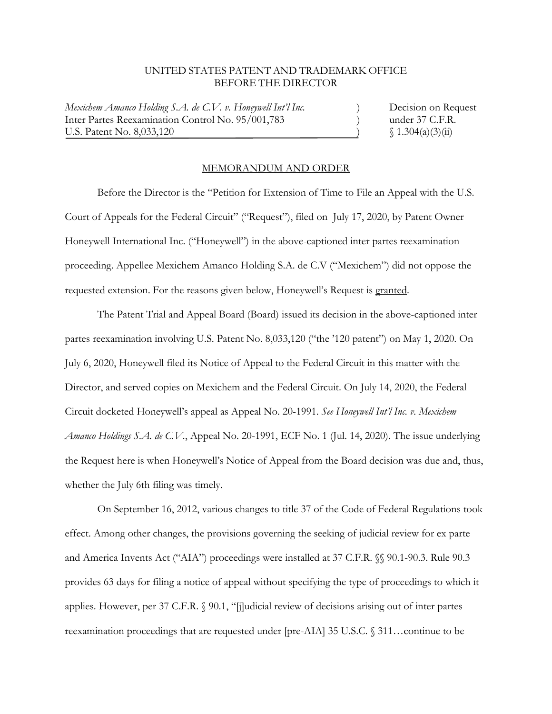## UNITED STATES PATENT AND TRADEMARK OFFICE BEFORE THE DIRECTOR

*Mexichem Amanco Holding S.A. de C.V. v. Honeywell Int'l Inc.* ) Decision on Request Inter Partes Reexamination Control No. 95/001,783 (and a moder 37 C.F.R. U.S. Patent No. 8,033,120  $\binom{1.304(a)(3)(ii)}{}$ 

## MEMORANDUM AND ORDER

 Before the Director is the "Petition for Extension of Time to File an Appeal with the U.S. Court of Appeals for the Federal Circuit" ("Request"), filed on July 17, 2020, by Patent Owner Honeywell International Inc. ("Honeywell") in the above-captioned inter partes reexamination proceeding. Appellee Mexichem Amanco Holding S.A. de C.V ("Mexichem") did not oppose the requested extension. For the reasons given below, Honeywell's Request is granted.

 The Patent Trial and Appeal Board (Board) issued its decision in the above-captioned inter partes reexamination involving U.S. Patent No. 8,033,120 ("the '120 patent") on May 1, 2020. On July 6, 2020, Honeywell filed its Notice of Appeal to the Federal Circuit in this matter with the Director, and served copies on Mexichem and the Federal Circuit. On July 14, 2020, the Federal Circuit docketed Honeywell's appeal as Appeal No. 20-1991. *See Honeywell Int'l Inc. v. Mexichem Amanco Holdings S.A. de C.V.*, Appeal No. 20-1991, ECF No. 1 (Jul. 14, 2020). The issue underlying the Request here is when Honeywell's Notice of Appeal from the Board decision was due and, thus, whether the July 6th filing was timely.

 On September 16, 2012, various changes to title 37 of the Code of Federal Regulations took effect. Among other changes, the provisions governing the seeking of judicial review for ex parte and America Invents Act ("AIA") proceedings were installed at 37 C.F.R. §§ 90.1-90.3. Rule 90.3 provides 63 days for filing a notice of appeal without specifying the type of proceedings to which it applies. However, per 37 C.F.R. § 90.1, "[j]udicial review of decisions arising out of inter partes reexamination proceedings that are requested under [pre-AIA] 35 U.S.C. § 311…continue to be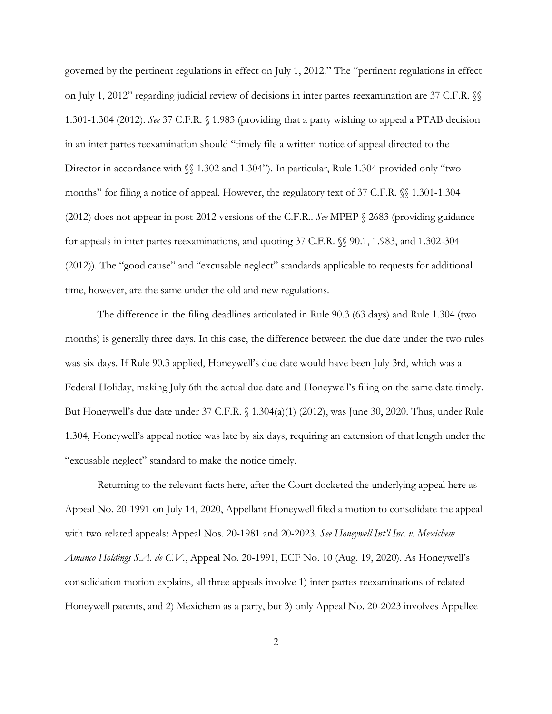governed by the pertinent regulations in effect on July 1, 2012." The "pertinent regulations in effect on July 1, 2012" regarding judicial review of decisions in inter partes reexamination are 37 C.F.R. §§ 1.301-1.304 (2012). *See* 37 C.F.R. § 1.983 (providing that a party wishing to appeal a PTAB decision in an inter partes reexamination should "timely file a written notice of appeal directed to the Director in accordance with  $\$  1.302 and 1.304"). In particular, Rule 1.304 provided only "two months" for filing a notice of appeal. However, the regulatory text of 37 C.F.R. §§ 1.301-1.304 (2012) does not appear in post-2012 versions of the C.F.R.. *See* MPEP § 2683 (providing guidance for appeals in inter partes reexaminations, and quoting 37 C.F.R. §§ 90.1, 1.983, and 1.302-304 (2012)). The "good cause" and "excusable neglect" standards applicable to requests for additional time, however, are the same under the old and new regulations.

The difference in the filing deadlines articulated in Rule 90.3 (63 days) and Rule 1.304 (two months) is generally three days. In this case, the difference between the due date under the two rules was six days. If Rule 90.3 applied, Honeywell's due date would have been July 3rd, which was a Federal Holiday, making July 6th the actual due date and Honeywell's filing on the same date timely. But Honeywell's due date under 37 C.F.R. § 1.304(a)(1) (2012), was June 30, 2020. Thus, under Rule 1.304, Honeywell's appeal notice was late by six days, requiring an extension of that length under the "excusable neglect" standard to make the notice timely.

Returning to the relevant facts here, after the Court docketed the underlying appeal here as Appeal No. 20-1991 on July 14, 2020, Appellant Honeywell filed a motion to consolidate the appeal with two related appeals: Appeal Nos. 20-1981 and 20-2023. *See Honeywell Int'l Inc. v. Mexichem Amanco Holdings S.A. de C.V.*, Appeal No. 20-1991, ECF No. 10 (Aug. 19, 2020). As Honeywell's consolidation motion explains, all three appeals involve 1) inter partes reexaminations of related Honeywell patents, and 2) Mexichem as a party, but 3) only Appeal No. 20-2023 involves Appellee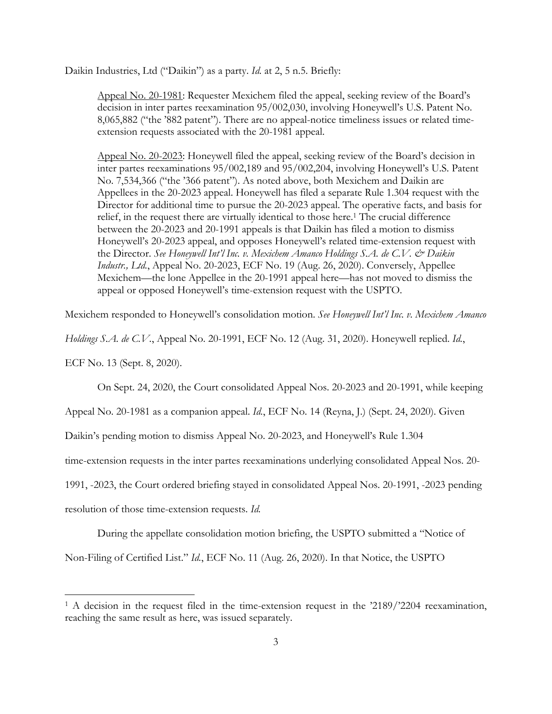Daikin Industries, Ltd ("Daikin") as a party. *Id.* at 2, 5 n.5. Briefly:

Appeal No. 20-1981: Requester Mexichem filed the appeal, seeking review of the Board's decision in inter partes reexamination 95/002,030, involving Honeywell's U.S. Patent No. 8,065,882 ("the '882 patent"). There are no appeal-notice timeliness issues or related timeextension requests associated with the 20-1981 appeal.

Appeal No. 20-2023: Honeywell filed the appeal, seeking review of the Board's decision in inter partes reexaminations 95/002,189 and 95/002,204, involving Honeywell's U.S. Patent No. 7,534,366 ("the '366 patent"). As noted above, both Mexichem and Daikin are Appellees in the 20-2023 appeal. Honeywell has filed a separate Rule 1.304 request with the Director for additional time to pursue the 20-2023 appeal. The operative facts, and basis for relief, in the request there are virtually identical to those here.1 The crucial difference between the 20-2023 and 20-1991 appeals is that Daikin has filed a motion to dismiss Honeywell's 20-2023 appeal, and opposes Honeywell's related time-extension request with the Director. *See Honeywell Int'l Inc. v. Mexichem Amanco Holdings S.A. de C.V. & Daikin Industr., Ltd.*, Appeal No. 20-2023, ECF No. 19 (Aug. 26, 2020). Conversely, Appellee Mexichem—the lone Appellee in the 20-1991 appeal here—has not moved to dismiss the appeal or opposed Honeywell's time-extension request with the USPTO.

Mexichem responded to Honeywell's consolidation motion. *See Honeywell Int'l Inc. v. Mexichem Amanco* 

*Holdings S.A. de C.V.*, Appeal No. 20-1991, ECF No. 12 (Aug. 31, 2020). Honeywell replied. *Id.*,

ECF No. 13 (Sept. 8, 2020).

 $\overline{a}$ 

On Sept. 24, 2020, the Court consolidated Appeal Nos. 20-2023 and 20-1991, while keeping

Appeal No. 20-1981 as a companion appeal. *Id.*, ECF No. 14 (Reyna, J.) (Sept. 24, 2020). Given

Daikin's pending motion to dismiss Appeal No. 20-2023, and Honeywell's Rule 1.304

time-extension requests in the inter partes reexaminations underlying consolidated Appeal Nos. 20-

1991, -2023, the Court ordered briefing stayed in consolidated Appeal Nos. 20-1991, -2023 pending

resolution of those time-extension requests. *Id.*

 During the appellate consolidation motion briefing, the USPTO submitted a "Notice of Non-Filing of Certified List." *Id.*, ECF No. 11 (Aug. 26, 2020). In that Notice, the USPTO

<sup>&</sup>lt;sup>1</sup> A decision in the request filed in the time-extension request in the '2189/'2204 reexamination, reaching the same result as here, was issued separately.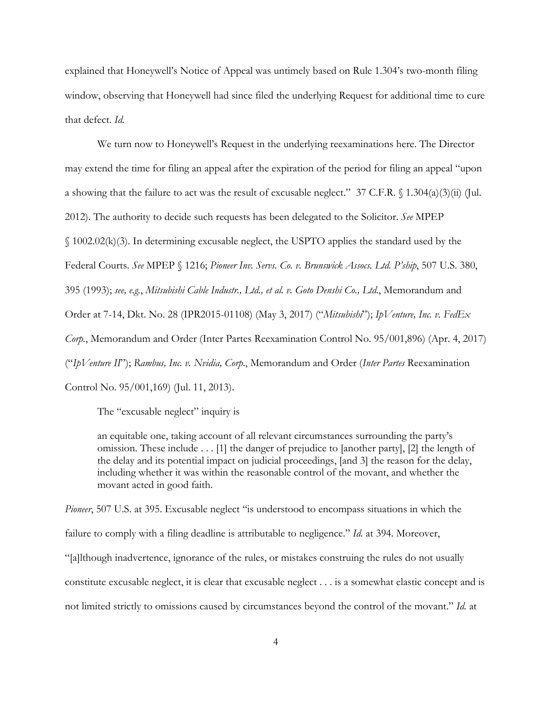explained that Honeywell's Notice of Appeal was untimely based on Rule 1.304's two-month filing window, observing that Honeywell had since filed the underlying Request for additional time to cure that defect. *Id.*

We turn now to Honeywell's Request in the underlying reexaminations here. The Director may extend the time for filing an appeal after the expiration of the period for filing an appeal "upon a showing that the failure to act was the result of excusable neglect." 37 C.F.R. § 1.304(a)(3)(ii) (Jul. 2012). The authority to decide such requests has been delegated to the Solicitor. *See* MPEP  $\{(1002.02(k)(3))\}$ . In determining excusable neglect, the USPTO applies the standard used by the Federal Courts. *See* MPEP § 1216; *Pioneer Inv. Servs. Co. v. Brunswick Assocs. Ltd. P'ship*, 507 U.S. 380, 395 (1993); *see, e.g.*, *Mitsubishi Cable Industr., Ltd., et al. v. Goto Denshi Co., Ltd.*, Memorandum and Order at 7-14, Dkt. No. 28 (IPR2015-01108) (May 3, 2017) ("*Mitsubishi*"); *IpVenture, Inc. v. FedEx Corp.*, Memorandum and Order (Inter Partes Reexamination Control No. 95/001,896) (Apr. 4, 2017) ("*IpVenture II*"); *Rambus, Inc. v. Nvidia, Corp*., Memorandum and Order (*Inter Partes* Reexamination Control No. 95/001,169) (Jul. 11, 2013).

The "excusable neglect" inquiry is

an equitable one, taking account of all relevant circumstances surrounding the party's omission. These include . . . [1] the danger of prejudice to [another party], [2] the length of the delay and its potential impact on judicial proceedings, [and 3] the reason for the delay, including whether it was within the reasonable control of the movant, and whether the movant acted in good faith.

*Pioneer*, 507 U.S. at 395. Excusable neglect "is understood to encompass situations in which the failure to comply with a filing deadline is attributable to negligence." *Id.* at 394. Moreover, "[a]lthough inadvertence, ignorance of the rules, or mistakes construing the rules do not usually constitute excusable neglect, it is clear that excusable neglect . . . is a somewhat elastic concept and is not limited strictly to omissions caused by circumstances beyond the control of the movant." *Id.* at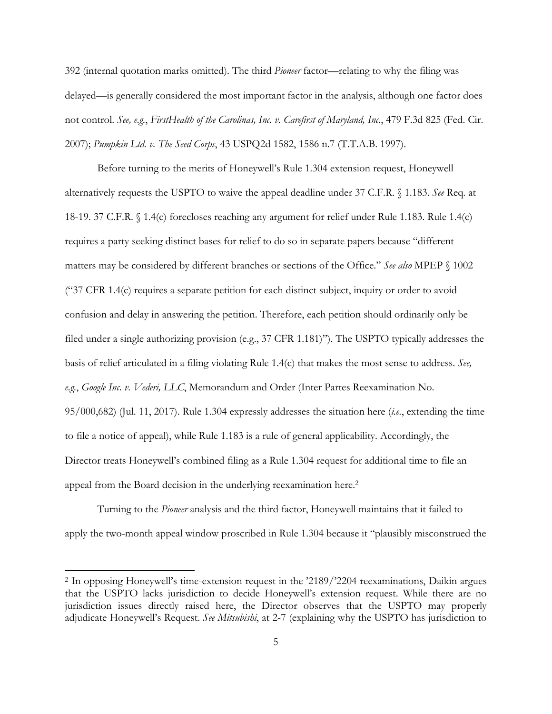392 (internal quotation marks omitted). The third *Pioneer* factor—relating to why the filing was delayed—is generally considered the most important factor in the analysis, although one factor does not control. *See, e.g.*, *FirstHealth of the Carolinas, Inc. v. Carefirst of Maryland, Inc.*, 479 F.3d 825 (Fed. Cir. 2007); *Pumpkin Ltd. v. The Seed Corps*, 43 USPQ2d 1582, 1586 n.7 (T.T.A.B. 1997).

Before turning to the merits of Honeywell's Rule 1.304 extension request, Honeywell alternatively requests the USPTO to waive the appeal deadline under 37 C.F.R. § 1.183. *See* Req. at 18-19. 37 C.F.R. § 1.4(c) forecloses reaching any argument for relief under Rule 1.183. Rule 1.4(c) requires a party seeking distinct bases for relief to do so in separate papers because "different matters may be considered by different branches or sections of the Office." *See also* MPEP § 1002 ("37 CFR 1.4(c) requires a separate petition for each distinct subject, inquiry or order to avoid confusion and delay in answering the petition. Therefore, each petition should ordinarily only be filed under a single authorizing provision (e.g., 37 CFR 1.181)"). The USPTO typically addresses the basis of relief articulated in a filing violating Rule 1.4(c) that makes the most sense to address. *See, e.g.*, *Google Inc. v. Vederi, LLC*, Memorandum and Order (Inter Partes Reexamination No. 95/000,682) (Jul. 11, 2017). Rule 1.304 expressly addresses the situation here (*i.e.*, extending the time to file a notice of appeal), while Rule 1.183 is a rule of general applicability. Accordingly, the Director treats Honeywell's combined filing as a Rule 1.304 request for additional time to file an appeal from the Board decision in the underlying reexamination here.2

Turning to the *Pioneer* analysis and the third factor, Honeywell maintains that it failed to apply the two-month appeal window proscribed in Rule 1.304 because it "plausibly misconstrued the

 $\overline{a}$ 

<sup>2</sup> In opposing Honeywell's time-extension request in the '2189/'2204 reexaminations, Daikin argues that the USPTO lacks jurisdiction to decide Honeywell's extension request. While there are no jurisdiction issues directly raised here, the Director observes that the USPTO may properly adjudicate Honeywell's Request. *See Mitsubishi*, at 2-7 (explaining why the USPTO has jurisdiction to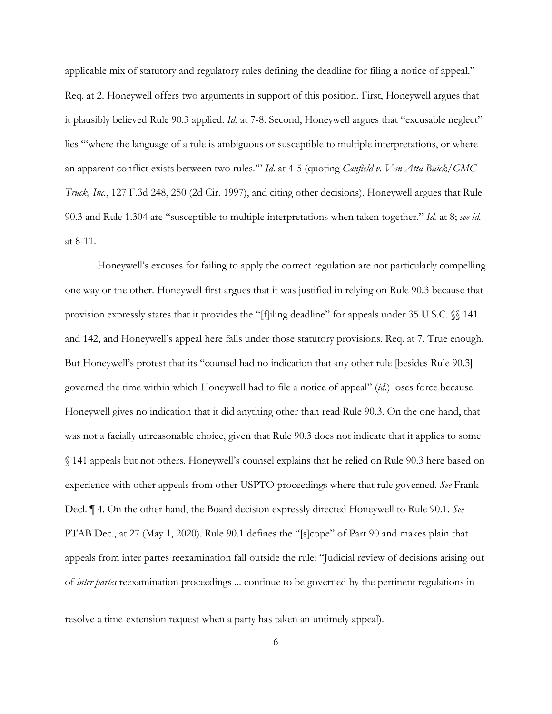applicable mix of statutory and regulatory rules defining the deadline for filing a notice of appeal." Req. at 2. Honeywell offers two arguments in support of this position. First, Honeywell argues that it plausibly believed Rule 90.3 applied. *Id.* at 7-8. Second, Honeywell argues that "excusable neglect" lies "'where the language of a rule is ambiguous or susceptible to multiple interpretations, or where an apparent conflict exists between two rules.'" *Id*. at 4-5 (quoting *Canfield v. Van Atta Buick/GMC Truck, Inc.*, 127 F.3d 248, 250 (2d Cir. 1997), and citing other decisions). Honeywell argues that Rule 90.3 and Rule 1.304 are "susceptible to multiple interpretations when taken together." *Id.* at 8; *see id.* at 8-11.

Honeywell's excuses for failing to apply the correct regulation are not particularly compelling one way or the other. Honeywell first argues that it was justified in relying on Rule 90.3 because that provision expressly states that it provides the "[f]iling deadline" for appeals under 35 U.S.C. §§ 141 and 142, and Honeywell's appeal here falls under those statutory provisions. Req. at 7. True enough. But Honeywell's protest that its "counsel had no indication that any other rule [besides Rule 90.3] governed the time within which Honeywell had to file a notice of appeal" (*id.*) loses force because Honeywell gives no indication that it did anything other than read Rule 90.3. On the one hand, that was not a facially unreasonable choice, given that Rule 90.3 does not indicate that it applies to some § 141 appeals but not others. Honeywell's counsel explains that he relied on Rule 90.3 here based on experience with other appeals from other USPTO proceedings where that rule governed. *See* Frank Decl. ¶ 4. On the other hand, the Board decision expressly directed Honeywell to Rule 90.1. *See* PTAB Dec., at 27 (May 1, 2020). Rule 90.1 defines the "[s]cope" of Part 90 and makes plain that appeals from inter partes reexamination fall outside the rule: "Judicial review of decisions arising out of *inter partes* reexamination proceedings ... continue to be governed by the pertinent regulations in

resolve a time-extension request when a party has taken an untimely appeal).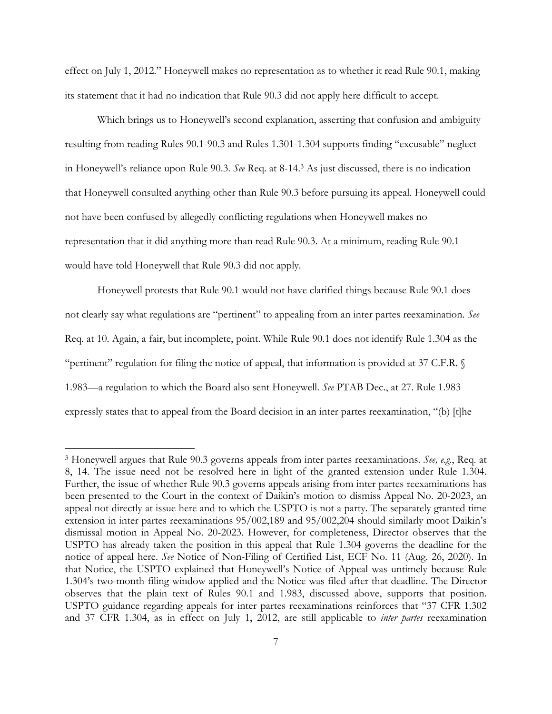effect on July 1, 2012." Honeywell makes no representation as to whether it read Rule 90.1, making its statement that it had no indication that Rule 90.3 did not apply here difficult to accept.

Which brings us to Honeywell's second explanation, asserting that confusion and ambiguity resulting from reading Rules 90.1-90.3 and Rules 1.301-1.304 supports finding "excusable" neglect in Honeywell's reliance upon Rule 90.3. *See* Req. at 8-14.3 As just discussed, there is no indication that Honeywell consulted anything other than Rule 90.3 before pursuing its appeal. Honeywell could not have been confused by allegedly conflicting regulations when Honeywell makes no representation that it did anything more than read Rule 90.3. At a minimum, reading Rule 90.1 would have told Honeywell that Rule 90.3 did not apply.

Honeywell protests that Rule 90.1 would not have clarified things because Rule 90.1 does not clearly say what regulations are "pertinent" to appealing from an inter partes reexamination. *See* Req. at 10. Again, a fair, but incomplete, point. While Rule 90.1 does not identify Rule 1.304 as the "pertinent" regulation for filing the notice of appeal, that information is provided at 37 C.F.R. § 1.983—a regulation to which the Board also sent Honeywell. *See* PTAB Dec., at 27. Rule 1.983 expressly states that to appeal from the Board decision in an inter partes reexamination, "(b) [t]he

<sup>3</sup> Honeywell argues that Rule 90.3 governs appeals from inter partes reexaminations. *See, e.g.*, Req. at 8, 14. The issue need not be resolved here in light of the granted extension under Rule 1.304. Further, the issue of whether Rule 90.3 governs appeals arising from inter partes reexaminations has been presented to the Court in the context of Daikin's motion to dismiss Appeal No. 20-2023, an appeal not directly at issue here and to which the USPTO is not a party. The separately granted time extension in inter partes reexaminations 95/002,189 and 95/002,204 should similarly moot Daikin's dismissal motion in Appeal No. 20-2023. However, for completeness, Director observes that the USPTO has already taken the position in this appeal that Rule 1.304 governs the deadline for the notice of appeal here. *See* Notice of Non-Filing of Certified List, ECF No. 11 (Aug. 26, 2020). In that Notice, the USPTO explained that Honeywell's Notice of Appeal was untimely because Rule 1.304's two-month filing window applied and the Notice was filed after that deadline. The Director observes that the plain text of Rules 90.1 and 1.983, discussed above, supports that position. USPTO guidance regarding appeals for inter partes reexaminations reinforces that "37 CFR 1.302 and 37 CFR 1.304, as in effect on July 1, 2012, are still applicable to *inter partes* reexamination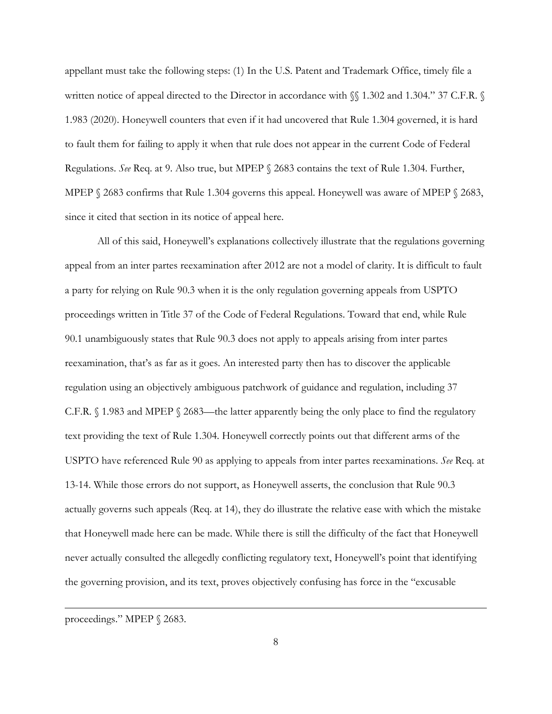appellant must take the following steps: (1) In the U.S. Patent and Trademark Office, timely file a written notice of appeal directed to the Director in accordance with  $\%$  1.302 and 1.304." 37 C.F.R.  $\%$ 1.983 (2020). Honeywell counters that even if it had uncovered that Rule 1.304 governed, it is hard to fault them for failing to apply it when that rule does not appear in the current Code of Federal Regulations. *See* Req. at 9. Also true, but MPEP § 2683 contains the text of Rule 1.304. Further, MPEP § 2683 confirms that Rule 1.304 governs this appeal. Honeywell was aware of MPEP § 2683, since it cited that section in its notice of appeal here.

All of this said, Honeywell's explanations collectively illustrate that the regulations governing appeal from an inter partes reexamination after 2012 are not a model of clarity. It is difficult to fault a party for relying on Rule 90.3 when it is the only regulation governing appeals from USPTO proceedings written in Title 37 of the Code of Federal Regulations. Toward that end, while Rule 90.1 unambiguously states that Rule 90.3 does not apply to appeals arising from inter partes reexamination, that's as far as it goes. An interested party then has to discover the applicable regulation using an objectively ambiguous patchwork of guidance and regulation, including 37 C.F.R. § 1.983 and MPEP § 2683—the latter apparently being the only place to find the regulatory text providing the text of Rule 1.304. Honeywell correctly points out that different arms of the USPTO have referenced Rule 90 as applying to appeals from inter partes reexaminations. *See* Req. at 13-14. While those errors do not support, as Honeywell asserts, the conclusion that Rule 90.3 actually governs such appeals (Req. at 14), they do illustrate the relative ease with which the mistake that Honeywell made here can be made. While there is still the difficulty of the fact that Honeywell never actually consulted the allegedly conflicting regulatory text, Honeywell's point that identifying the governing provision, and its text, proves objectively confusing has force in the "excusable

proceedings." MPEP  $\S$  2683.

 $\overline{a}$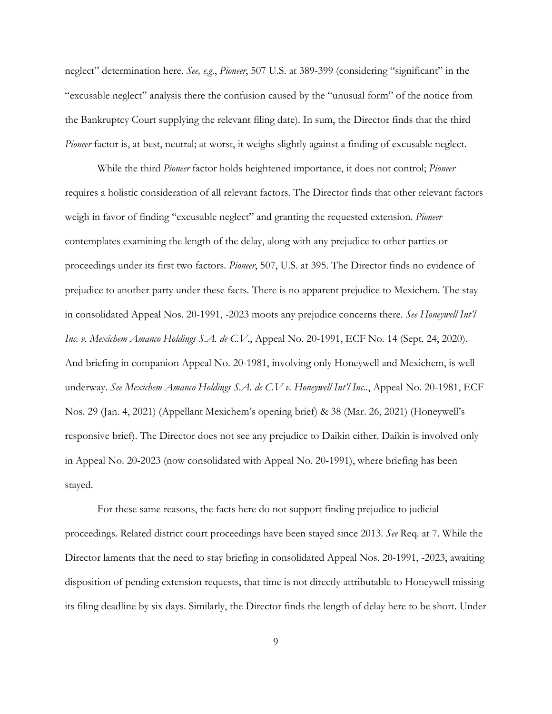neglect" determination here. *See, e.g*., *Pioneer*, 507 U.S. at 389-399 (considering "significant" in the "excusable neglect" analysis there the confusion caused by the "unusual form" of the notice from the Bankruptcy Court supplying the relevant filing date). In sum, the Director finds that the third *Pioneer* factor is, at best, neutral; at worst, it weighs slightly against a finding of excusable neglect.

While the third *Pioneer* factor holds heightened importance, it does not control; *Pioneer* requires a holistic consideration of all relevant factors. The Director finds that other relevant factors weigh in favor of finding "excusable neglect" and granting the requested extension. *Pioneer* contemplates examining the length of the delay, along with any prejudice to other parties or proceedings under its first two factors. *Pioneer*, 507, U.S. at 395. The Director finds no evidence of prejudice to another party under these facts. There is no apparent prejudice to Mexichem. The stay in consolidated Appeal Nos. 20-1991, -2023 moots any prejudice concerns there. *See Honeywell Int'l Inc. v. Mexichem Amanco Holdings S.A. de C.V.*, Appeal No. 20-1991, ECF No. 14 (Sept. 24, 2020). And briefing in companion Appeal No. 20-1981, involving only Honeywell and Mexichem, is well underway. *See Mexichem Amanco Holdings S.A. de C.V v. Honeywell Int'l Inc..*, Appeal No. 20-1981, ECF Nos. 29 (Jan. 4, 2021) (Appellant Mexichem's opening brief) & 38 (Mar. 26, 2021) (Honeywell's responsive brief). The Director does not see any prejudice to Daikin either. Daikin is involved only in Appeal No. 20-2023 (now consolidated with Appeal No. 20-1991), where briefing has been stayed.

For these same reasons, the facts here do not support finding prejudice to judicial proceedings. Related district court proceedings have been stayed since 2013. *See* Req. at 7. While the Director laments that the need to stay briefing in consolidated Appeal Nos. 20-1991, -2023, awaiting disposition of pending extension requests, that time is not directly attributable to Honeywell missing its filing deadline by six days. Similarly, the Director finds the length of delay here to be short. Under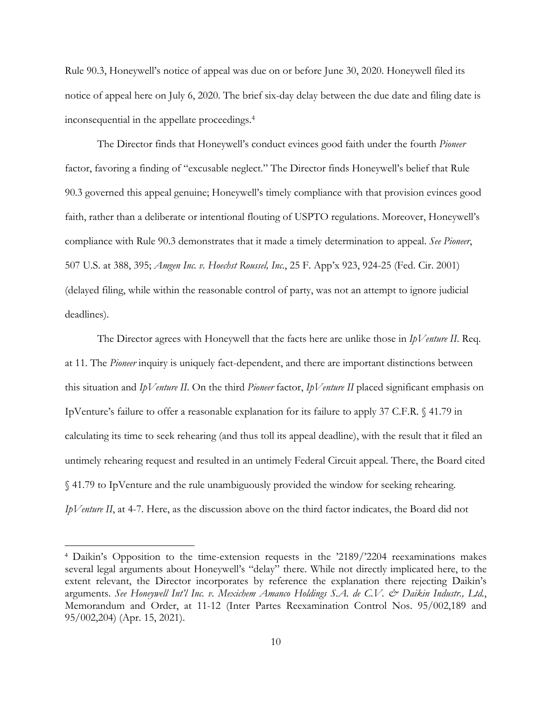Rule 90.3, Honeywell's notice of appeal was due on or before June 30, 2020. Honeywell filed its notice of appeal here on July 6, 2020. The brief six-day delay between the due date and filing date is inconsequential in the appellate proceedings.4

The Director finds that Honeywell's conduct evinces good faith under the fourth *Pioneer* factor, favoring a finding of "excusable neglect." The Director finds Honeywell's belief that Rule 90.3 governed this appeal genuine; Honeywell's timely compliance with that provision evinces good faith, rather than a deliberate or intentional flouting of USPTO regulations. Moreover, Honeywell's compliance with Rule 90.3 demonstrates that it made a timely determination to appeal. *See Pioneer*, 507 U.S. at 388, 395; *Amgen Inc. v. Hoechst Roussel, Inc.*, 25 F. App'x 923, 924-25 (Fed. Cir. 2001) (delayed filing, while within the reasonable control of party, was not an attempt to ignore judicial deadlines).

The Director agrees with Honeywell that the facts here are unlike those in *IpVenture II*. Req. at 11. The *Pioneer* inquiry is uniquely fact-dependent, and there are important distinctions between this situation and *IpVenture II*. On the third *Pioneer* factor, *IpVenture II* placed significant emphasis on IpVenture's failure to offer a reasonable explanation for its failure to apply 37 C.F.R. § 41.79 in calculating its time to seek rehearing (and thus toll its appeal deadline), with the result that it filed an untimely rehearing request and resulted in an untimely Federal Circuit appeal. There, the Board cited § 41.79 to IpVenture and the rule unambiguously provided the window for seeking rehearing. *IpVenture II*, at 4-7. Here, as the discussion above on the third factor indicates, the Board did not

<sup>4</sup> Daikin's Opposition to the time-extension requests in the '2189/'2204 reexaminations makes several legal arguments about Honeywell's "delay" there. While not directly implicated here, to the extent relevant, the Director incorporates by reference the explanation there rejecting Daikin's arguments. See Honeywell Int'l Inc. v. Mexichem Amanco Holdings S.A. de C.V. & Daikin Industr., Ltd., Memorandum and Order, at 11-12 (Inter Partes Reexamination Control Nos. 95/002,189 and 95/002,204) (Apr. 15, 2021).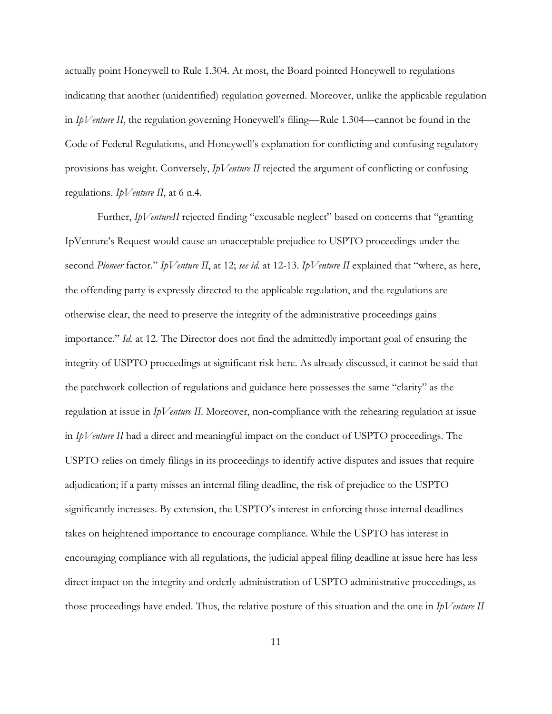actually point Honeywell to Rule 1.304. At most, the Board pointed Honeywell to regulations indicating that another (unidentified) regulation governed. Moreover, unlike the applicable regulation in *IpVenture II*, the regulation governing Honeywell's filing—Rule 1.304—cannot be found in the Code of Federal Regulations, and Honeywell's explanation for conflicting and confusing regulatory provisions has weight. Conversely, *IpVenture II* rejected the argument of conflicting or confusing regulations. *IpVenture II*, at 6 n.4.

Further, *IpVentureII* rejected finding "excusable neglect" based on concerns that "granting IpVenture's Request would cause an unacceptable prejudice to USPTO proceedings under the second *Pioneer* factor." *IpVenture II*, at 12; *see id.* at 12-13. *IpVenture II* explained that "where, as here, the offending party is expressly directed to the applicable regulation, and the regulations are otherwise clear, the need to preserve the integrity of the administrative proceedings gains importance." *Id.* at 12. The Director does not find the admittedly important goal of ensuring the integrity of USPTO proceedings at significant risk here. As already discussed, it cannot be said that the patchwork collection of regulations and guidance here possesses the same "clarity" as the regulation at issue in *IpVenture II*. Moreover, non-compliance with the rehearing regulation at issue in *IpVenture II* had a direct and meaningful impact on the conduct of USPTO proceedings. The USPTO relies on timely filings in its proceedings to identify active disputes and issues that require adjudication; if a party misses an internal filing deadline, the risk of prejudice to the USPTO significantly increases. By extension, the USPTO's interest in enforcing those internal deadlines takes on heightened importance to encourage compliance. While the USPTO has interest in encouraging compliance with all regulations, the judicial appeal filing deadline at issue here has less direct impact on the integrity and orderly administration of USPTO administrative proceedings, as those proceedings have ended. Thus, the relative posture of this situation and the one in *IpVenture II*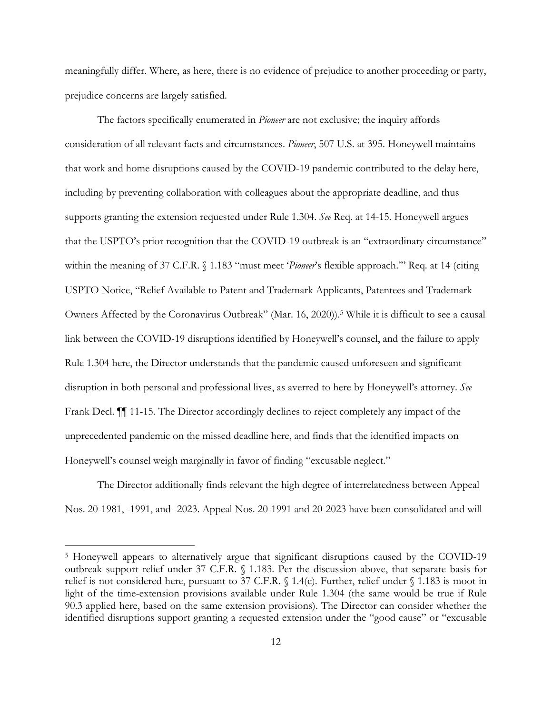meaningfully differ. Where, as here, there is no evidence of prejudice to another proceeding or party, prejudice concerns are largely satisfied.

The factors specifically enumerated in *Pioneer* are not exclusive; the inquiry affords consideration of all relevant facts and circumstances. *Pioneer*, 507 U.S. at 395. Honeywell maintains that work and home disruptions caused by the COVID-19 pandemic contributed to the delay here, including by preventing collaboration with colleagues about the appropriate deadline, and thus supports granting the extension requested under Rule 1.304. *See* Req. at 14-15. Honeywell argues that the USPTO's prior recognition that the COVID-19 outbreak is an "extraordinary circumstance" within the meaning of 37 C.F.R. § 1.183 "must meet '*Pioneer*'s flexible approach.'" Req. at 14 (citing USPTO Notice, "Relief Available to Patent and Trademark Applicants, Patentees and Trademark Owners Affected by the Coronavirus Outbreak" (Mar. 16, 2020)).5 While it is difficult to see a causal link between the COVID-19 disruptions identified by Honeywell's counsel, and the failure to apply Rule 1.304 here, the Director understands that the pandemic caused unforeseen and significant disruption in both personal and professional lives, as averred to here by Honeywell's attorney. *See* Frank Decl. ¶¶ 11-15. The Director accordingly declines to reject completely any impact of the unprecedented pandemic on the missed deadline here, and finds that the identified impacts on Honeywell's counsel weigh marginally in favor of finding "excusable neglect."

The Director additionally finds relevant the high degree of interrelatedness between Appeal Nos. 20-1981, -1991, and -2023. Appeal Nos. 20-1991 and 20-2023 have been consolidated and will

 $\overline{a}$ 

<sup>5</sup> Honeywell appears to alternatively argue that significant disruptions caused by the COVID-19 outbreak support relief under 37 C.F.R. § 1.183. Per the discussion above, that separate basis for relief is not considered here, pursuant to 37 C.F.R. § 1.4(c). Further, relief under § 1.183 is moot in light of the time-extension provisions available under Rule 1.304 (the same would be true if Rule 90.3 applied here, based on the same extension provisions). The Director can consider whether the identified disruptions support granting a requested extension under the "good cause" or "excusable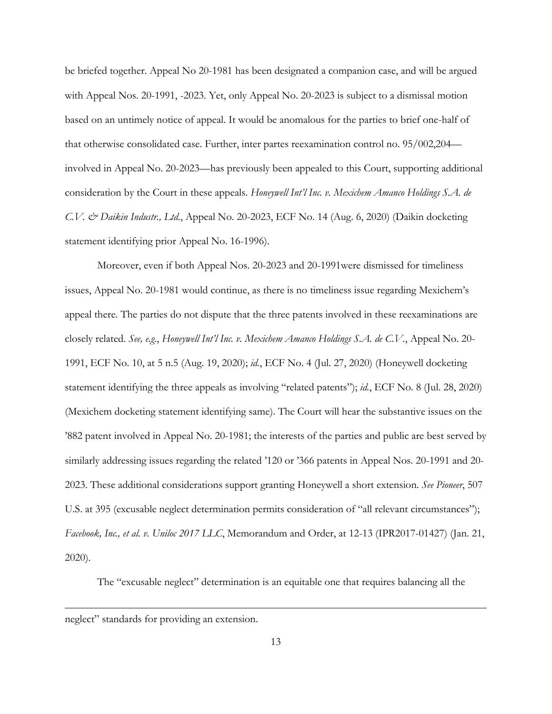be briefed together. Appeal No 20-1981 has been designated a companion case, and will be argued with Appeal Nos. 20-1991, -2023. Yet, only Appeal No. 20-2023 is subject to a dismissal motion based on an untimely notice of appeal. It would be anomalous for the parties to brief one-half of that otherwise consolidated case. Further, inter partes reexamination control no. 95/002,204 involved in Appeal No. 20-2023—has previously been appealed to this Court, supporting additional consideration by the Court in these appeals. *Honeywell Int'l Inc. v. Mexichem Amanco Holdings S.A. de C.V. & Daikin Industr., Ltd.*, Appeal No. 20-2023, ECF No. 14 (Aug. 6, 2020) (Daikin docketing statement identifying prior Appeal No. 16-1996).

Moreover, even if both Appeal Nos. 20-2023 and 20-1991were dismissed for timeliness issues, Appeal No. 20-1981 would continue, as there is no timeliness issue regarding Mexichem's appeal there. The parties do not dispute that the three patents involved in these reexaminations are closely related. *See, e.g.*, *Honeywell Int'l Inc. v. Mexichem Amanco Holdings S.A. de C.V.*, Appeal No. 20- 1991, ECF No. 10, at 5 n.5 (Aug. 19, 2020); *id.*, ECF No. 4 (Jul. 27, 2020) (Honeywell docketing statement identifying the three appeals as involving "related patents"); *id.*, ECF No. 8 (Jul. 28, 2020) (Mexichem docketing statement identifying same). The Court will hear the substantive issues on the '882 patent involved in Appeal No. 20-1981; the interests of the parties and public are best served by similarly addressing issues regarding the related '120 or '366 patents in Appeal Nos. 20-1991 and 20- 2023. These additional considerations support granting Honeywell a short extension. *See Pioneer*, 507 U.S. at 395 (excusable neglect determination permits consideration of "all relevant circumstances"); *Facebook, Inc., et al. v. Uniloc 2017 LLC*, Memorandum and Order, at 12-13 (IPR2017-01427) (Jan. 21, 2020).

The "excusable neglect" determination is an equitable one that requires balancing all the

neglect" standards for providing an extension.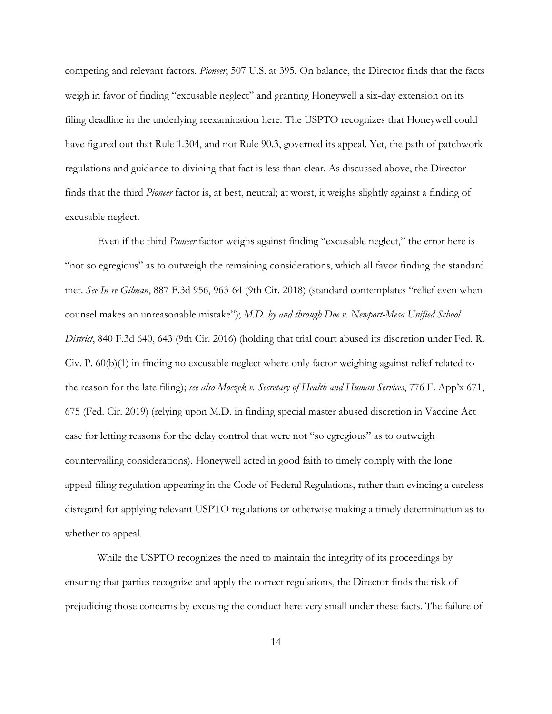competing and relevant factors. *Pioneer*, 507 U.S. at 395. On balance, the Director finds that the facts weigh in favor of finding "excusable neglect" and granting Honeywell a six-day extension on its filing deadline in the underlying reexamination here. The USPTO recognizes that Honeywell could have figured out that Rule 1.304, and not Rule 90.3, governed its appeal. Yet, the path of patchwork regulations and guidance to divining that fact is less than clear. As discussed above, the Director finds that the third *Pioneer* factor is, at best, neutral; at worst, it weighs slightly against a finding of excusable neglect.

Even if the third *Pioneer* factor weighs against finding "excusable neglect," the error here is "not so egregious" as to outweigh the remaining considerations, which all favor finding the standard met. *See In re Gilman*, 887 F.3d 956, 963-64 (9th Cir. 2018) (standard contemplates "relief even when counsel makes an unreasonable mistake"); *M.D. by and through Doe v. Newport-Mesa Unified School District*, 840 F.3d 640, 643 (9th Cir. 2016) (holding that trial court abused its discretion under Fed. R. Civ. P. 60(b)(1) in finding no excusable neglect where only factor weighing against relief related to the reason for the late filing); *see also Moczek v. Secretary of Health and Human Services*, 776 F. App'x 671, 675 (Fed. Cir. 2019) (relying upon M.D. in finding special master abused discretion in Vaccine Act case for letting reasons for the delay control that were not "so egregious" as to outweigh countervailing considerations). Honeywell acted in good faith to timely comply with the lone appeal-filing regulation appearing in the Code of Federal Regulations, rather than evincing a careless disregard for applying relevant USPTO regulations or otherwise making a timely determination as to whether to appeal.

While the USPTO recognizes the need to maintain the integrity of its proceedings by ensuring that parties recognize and apply the correct regulations, the Director finds the risk of prejudicing those concerns by excusing the conduct here very small under these facts. The failure of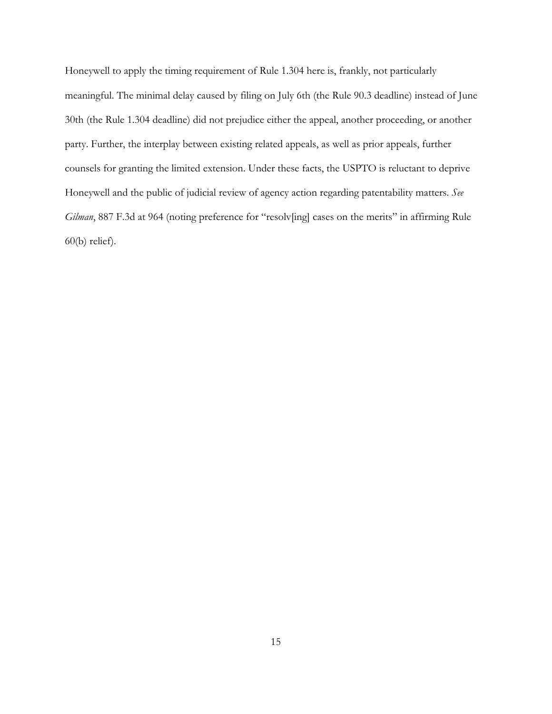Honeywell to apply the timing requirement of Rule 1.304 here is, frankly, not particularly meaningful. The minimal delay caused by filing on July 6th (the Rule 90.3 deadline) instead of June 30th (the Rule 1.304 deadline) did not prejudice either the appeal, another proceeding, or another party. Further, the interplay between existing related appeals, as well as prior appeals, further counsels for granting the limited extension. Under these facts, the USPTO is reluctant to deprive Honeywell and the public of judicial review of agency action regarding patentability matters. *See Gilman*, 887 F.3d at 964 (noting preference for "resolv[ing] cases on the merits" in affirming Rule 60(b) relief).